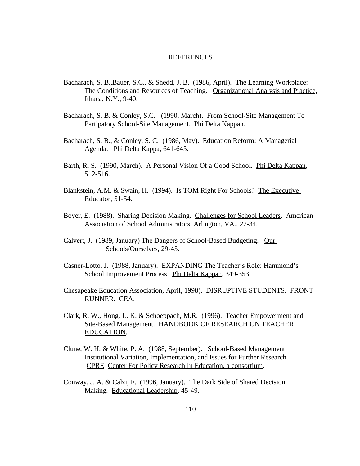## REFERENCES

- Bacharach, S. B.,Bauer, S.C., & Shedd, J. B. (1986, April). The Learning Workplace: The Conditions and Resources of Teaching. Organizational Analysis and Practice, Ithaca, N.Y., 9-40.
- Bacharach, S. B. & Conley, S.C. (1990, March). From School-Site Management To Partipatory School-Site Management. Phi Delta Kappan.
- Bacharach, S. B., & Conley, S. C. (1986, May). Education Reform: A Managerial Agenda. Phi Delta Kappa, 641-645.
- Barth, R. S. (1990, March). A Personal Vision Of a Good School. Phi Delta Kappan, 512-516.
- Blankstein, A.M. & Swain, H. (1994). Is TOM Right For Schools? The Executive Educator, 51-54.
- Boyer, E. (1988). Sharing Decision Making. Challenges for School Leaders. American Association of School Administrators, Arlington, VA., 27-34.
- Calvert, J. (1989, January) The Dangers of School-Based Budgeting. Our Schools/Ourselves, 29-45.
- Casner-Lotto, J. (1988, January). EXPANDING The Teacher's Role: Hammond's School Improvement Process. Phi Delta Kappan, 349-353.
- Chesapeake Education Association, April, 1998). DISRUPTIVE STUDENTS. FRONT RUNNER. CEA.
- Clark, R. W., Hong, L. K. & Schoeppach, M.R. (1996). Teacher Empowerment and Site-Based Management. HANDBOOK OF RESEARCH ON TEACHER EDUCATION.
- Clune, W. H. & White, P. A. (1988, September). School-Based Management: Institutional Variation, Implementation, and Issues for Further Research. CPRE Center For Policy Research In Education, a consortium.
- Conway, J. A. & Calzi, F. (1996, January). The Dark Side of Shared Decision Making. Educational Leadership, 45-49.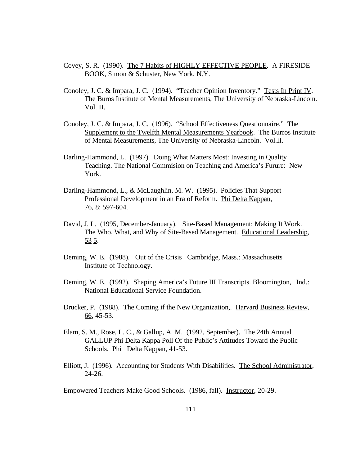- Covey, S. R. (1990). The 7 Habits of HIGHLY EFFECTIVE PEOPLE. A FIRESIDE BOOK, Simon & Schuster, New York, N.Y.
- Conoley, J. C. & Impara, J. C. (1994). "Teacher Opinion Inventory." Tests In Print IV. The Buros Institute of Mental Measurements, The University of Nebraska-Lincoln. Vol. II.
- Conoley, J. C. & Impara, J. C. (1996). "School Effectiveness Questionnaire." The Supplement to the Twelfth Mental Measurements Yearbook. The Burros Institute of Mental Measurements, The University of Nebraska-Lincoln. Vol.II.
- Darling-Hammond, L. (1997). Doing What Matters Most: Investing in Quality Teaching. The National Commision on Teaching and America's Furure: New York.
- Darling-Hammond, L., & McLaughlin, M. W. (1995). Policies That Support Professional Development in an Era of Reform. Phi Delta Kappan, 76, 8: 597-604.
- David, J. L. (1995, December-January). Site-Based Management: Making It Work. The Who, What, and Why of Site-Based Management. Educational Leadership, 53 5.
- Deming, W. E. (1988). Out of the Crisis Cambridge, Mass.: Massachusetts Institute of Technology.
- Deming, W. E. (1992). Shaping America's Future III Transcripts. Bloomington, Ind.: National Educational Service Foundation.
- Drucker, P. (1988). The Coming if the New Organization,. Harvard Business Review, 66, 45-53.
- Elam, S. M., Rose, L. C., & Gallup, A. M. (1992, September). The 24th Annual GALLUP Phi Delta Kappa Poll Of the Public's Attitudes Toward the Public Schools. Phi Delta Kappan, 41-53.
- Elliott, J. (1996). Accounting for Students With Disabilities. The School Administrator, 24-26.

Empowered Teachers Make Good Schools. (1986, fall). Instructor, 20-29.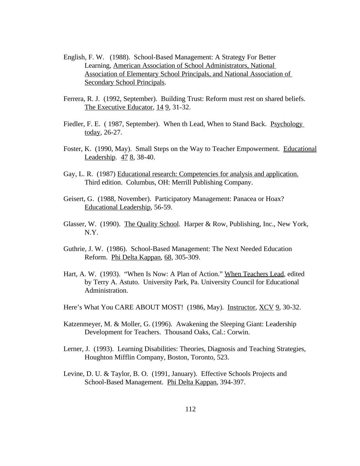- English, F. W. (1988). School-Based Management: A Strategy For Better Learning, American Association of School Administrators, National Association of Elementary School Principals, and National Association of Secondary School Principals.
- Ferrera, R. J. (1992, September). Building Trust: Reform must rest on shared beliefs. The Executive Educator, 14 9, 31-32.
- Fiedler, F. E. ( 1987, September). When th Lead, When to Stand Back. Psychology today, 26-27.
- Foster, K. (1990, May). Small Steps on the Way to Teacher Empowerment. Educational Leadership. 47 8, 38-40.
- Gay, L. R. (1987) Educational research: Competencies for analysis and application. Third edition. Columbus, OH: Merrill Publishing Company.
- Geisert, G. (1988, November). Participatory Management: Panacea or Hoax? Educational Leadership, 56-59.
- Glasser, W. (1990). The Quality School. Harper & Row, Publishing, Inc., New York, N.Y.
- Guthrie, J. W. (1986). School-Based Management: The Next Needed Education Reform. Phi Delta Kappan, 68, 305-309.
- Hart, A. W. (1993). "When Is Now: A Plan of Action." When Teachers Lead, edited by Terry A. Astuto. University Park, Pa. University Council for Educational Administration.
- Here's What You CARE ABOUT MOST! (1986, May). Instructor, XCV 9, 30-32.
- Katzenmeyer, M. & Moller, G. (1996). Awakening the Sleeping Giant: Leadership Development for Teachers. Thousand Oaks, Cal.: Corwin.
- Lerner, J. (1993). Learning Disabilities: Theories, Diagnosis and Teaching Strategies, Houghton Mifflin Company, Boston, Toronto, 523.
- Levine, D. U. & Taylor, B. O. (1991, January). Effective Schools Projects and School-Based Management. Phi Delta Kappan, 394-397.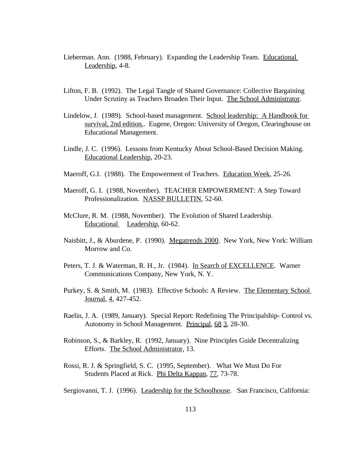- Lieberman. Ann. (1988, February). Expanding the Leadership Team. Educational Leadership, 4-8.
- Lifton, F. B. (1992). The Legal Tangle of Shared Governance: Collective Bargaining Under Scrutiny as Teachers Broaden Their Input. The School Administrator.
- Lindelow, J. (1989). School-based management. School leadership: A Handbook for survival, 2nd edition.. Eugene, Oregon: University of Oregon, Clearinghouse on Educational Management.
- Lindle, J. C. (1996). Lessons from Kentucky About School-Based Decision Making. Educational Leadership, 20-23.
- Maeroff, G.I. (1988). The Empowerment of Teachers. Education Week, 25-26.
- Maeroff, G. I. (1988, November). TEACHER EMPOWERMENT: A Step Toward Professionalization. NASSP BULLETIN, 52-60.
- McClure, R. M. (1988, November). The Evolution of Shared Leadership. Educational Leadership, 60-62.
- Naisbitt, J., & Aburdene, P. (1990). Megatrends 2000. New York, New York: William Morrow and Co.
- Peters, T. J. & Waterman, R. H., Jr. (1984). In Search of EXCELLENCE. Warner Communications Company, New York, N. Y.
- Purkey, S. & Smith, M. (1983). Effective Schools: A Review. The Elementary School Journal, 4, 427-452.
- Raelin, J. A. (1989, January). Special Report: Redefining The Principalship- Control vs. Autonomy in School Management. Principal, 68 3, 28-30.
- Robinson, S., & Barkley, R. (1992, January). Nine Principles Guide Decentralizing Efforts. The School Administrator, 13.
- Rossi, R. J. & Springfield, S. C. (1995, September). What We Must Do For Students Placed at Rick. Phi Delta Kappan, 77, 73-78.
- Sergiovanni, T. J. (1996). Leadership for the Schoolhouse. San Francisco, California: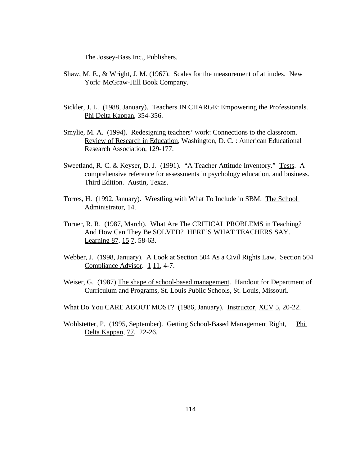The Jossey-Bass Inc., Publishers.

- Shaw, M. E., & Wright, J. M. (1967). Scales for the measurement of attitudes. New York: McGraw-Hill Book Company.
- Sickler, J. L. (1988, January). Teachers IN CHARGE: Empowering the Professionals. Phi Delta Kappan, 354-356.
- Smylie, M. A. (1994). Redesigning teachers' work: Connections to the classroom. Review of Research in Education, Washington, D. C. : American Educational Research Association, 129-177.
- Sweetland, R. C. & Keyser, D. J. (1991). "A Teacher Attitude Inventory." Tests. A comprehensive reference for assessments in psychology education, and business. Third Edition. Austin, Texas.
- Torres, H. (1992, January). Wrestling with What To Include in SBM. The School Administrator, 14.
- Turner, R. R. (1987, March). What Are The CRITICAL PROBLEMS in Teaching? And How Can They Be SOLVED? HERE'S WHAT TEACHERS SAY. Learning 87, 15 7, 58-63.
- Webber, J. (1998, January). A Look at Section 504 As a Civil Rights Law. Section 504 Compliance Advisor. 1 11, 4-7.
- Weiser, G. (1987) The shape of school-based management. Handout for Department of Curriculum and Programs, St. Louis Public Schools, St. Louis, Missouri.
- What Do You CARE ABOUT MOST? (1986, January). Instructor, XCV 5, 20-22.
- Wohlstetter, P. (1995, September). Getting School-Based Management Right, Phi Delta Kappan, 77, 22-26.